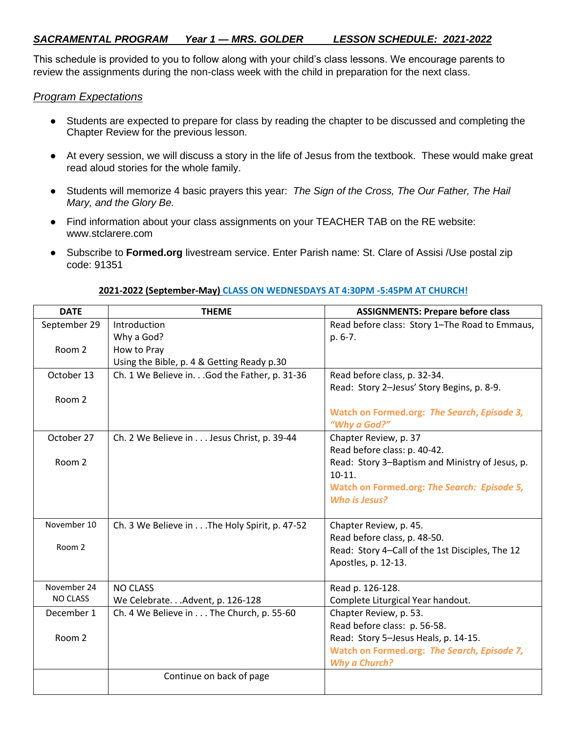This schedule is provided to you to follow along with your child's class lessons. We encourage parents to review the assignments during the non-class week with the child in preparation for the next class.

## *Program Expectations*

- Students are expected to prepare for class by reading the chapter to be discussed and completing the Chapter Review for the previous lesson.
- At every session, we will discuss a story in the life of Jesus from the textbook. These would make great read aloud stories for the whole family.
- Students will memorize 4 basic prayers this year: *The Sign of the Cross, The Our Father, The Hail Mary, and the Glory Be.*
- Find information about your class assignments on your TEACHER TAB on the RE website: www.stclarere.com
- Subscribe to **Formed.org** livestream service. Enter Parish name: St. Clare of Assisi /Use postal zip code: 91351

| <b>DATE</b>     | <b>THEME</b>                                  | <b>ASSIGNMENTS: Prepare before class</b>        |
|-----------------|-----------------------------------------------|-------------------------------------------------|
| September 29    | Introduction                                  | Read before class: Story 1-The Road to Emmaus,  |
|                 | Why a God?                                    | p. 6-7.                                         |
| Room 2          | How to Pray                                   |                                                 |
|                 | Using the Bible, p. 4 & Getting Ready p.30    |                                                 |
| October 13      | Ch. 1 We Believe in. God the Father, p. 31-36 | Read before class, p. 32-34.                    |
|                 |                                               | Read: Story 2-Jesus' Story Begins, p. 8-9.      |
| Room 2          |                                               |                                                 |
|                 |                                               | Watch on Formed.org: The Search, Episode 3,     |
|                 |                                               | "Why a God?"                                    |
| October 27      | Ch. 2 We Believe in Jesus Christ, p. 39-44    | Chapter Review, p. 37                           |
|                 |                                               | Read before class: p. 40-42.                    |
| Room 2          |                                               | Read: Story 3-Baptism and Ministry of Jesus, p. |
|                 |                                               | $10-11.$                                        |
|                 |                                               | Watch on Formed.org: The Search: Episode 5,     |
|                 |                                               | Who is Jesus?                                   |
|                 |                                               |                                                 |
| November 10     | Ch. 3 We Believe in The Holy Spirit, p. 47-52 | Chapter Review, p. 45.                          |
| Room 2          |                                               | Read before class, p. 48-50.                    |
|                 |                                               | Read: Story 4-Call of the 1st Disciples, The 12 |
|                 |                                               | Apostles, p. 12-13.                             |
|                 |                                               |                                                 |
| November 24     | <b>NO CLASS</b>                               | Read p. 126-128.                                |
| <b>NO CLASS</b> | We Celebrate. Advent, p. 126-128              | Complete Liturgical Year handout.               |
| December 1      | Ch. 4 We Believe in The Church, p. 55-60      | Chapter Review, p. 53.                          |
|                 |                                               | Read before class: p. 56-58.                    |
| Room 2          |                                               | Read: Story 5-Jesus Heals, p. 14-15.            |
|                 |                                               | Watch on Formed.org: The Search, Episode 7,     |
|                 |                                               | <b>Why a Church?</b>                            |
|                 | Continue on back of page                      |                                                 |
|                 |                                               |                                                 |

## **2021-2022 (September-May) CLASS ON WEDNESDAYS AT 4:30PM -5:45PM AT CHURCH!**